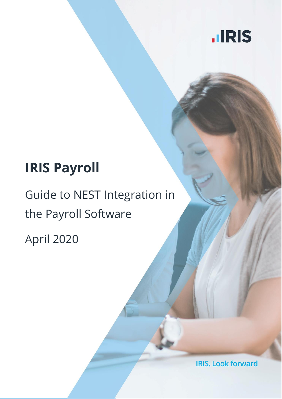

# **IRIS Payroll**

# Guide to NEST Integration in the Payroll Software

April 2020

**IRIS. Look forward**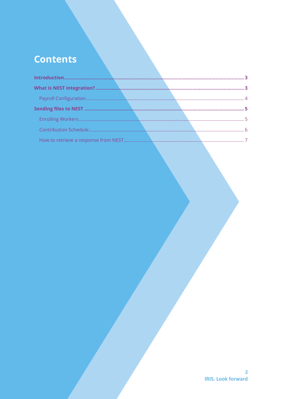# **Contents**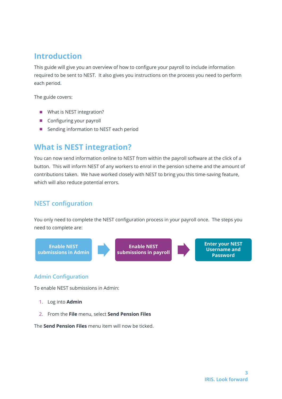# <span id="page-2-0"></span>**Introduction**

This guide will give you an overview of how to configure your payroll to include information required to be sent to NEST. It also gives you instructions on the process you need to perform each period.

The guide covers:

- What is NEST integration?
- Configuring your payroll
- Sending information to NEST each period

# <span id="page-2-1"></span>**What is NEST integration?**

You can now send information online to NEST from within the payroll software at the click of a button. This will inform NEST of any workers to enrol in the pension scheme and the amount of contributions taken. We have worked closely with NEST to bring you this time-saving feature, which will also reduce potential errors.

## **NEST configuration**

You only need to complete the NEST configuration process in your payroll once. The steps you need to complete are:

**Enable NEST submissions in Admin**



**Enable NEST submissions in payroll**

**Enter your NEST Username and Password**

### **Admin Configuration**

To enable NEST submissions in Admin:

- 1. Log into **Admin**
- 2. From the **File** menu, select **Send Pension Files**

The **Send Pension Files** menu item will now be ticked.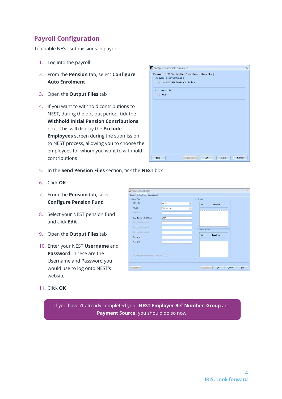# <span id="page-3-0"></span>**Payroll Configuration**

To enable NEST submissions in payroll:

- 1. Log into the payroll
- 2. From the **Pension** tab, select **Configure Auto Enrolment**
- 3. Open the **Output Files** tab
- 4. If you want to withhold contributions to NEST, during the opt-out period, tick the **Withhold Initial Pension Contributions** box. This will display the **Exclude Employees** screen during the submission to NEST process, allowing you to choose the employees for whom you want to withhold contributions

| <b>Employees Pension Contributions</b><br>V Withhold Initial Pension Contributions<br>Send Pension Files<br>V NEST |  |
|--------------------------------------------------------------------------------------------------------------------|--|
|                                                                                                                    |  |
|                                                                                                                    |  |
|                                                                                                                    |  |
|                                                                                                                    |  |
|                                                                                                                    |  |
|                                                                                                                    |  |
|                                                                                                                    |  |
|                                                                                                                    |  |
|                                                                                                                    |  |
|                                                                                                                    |  |
|                                                                                                                    |  |
|                                                                                                                    |  |
|                                                                                                                    |  |
|                                                                                                                    |  |
|                                                                                                                    |  |
|                                                                                                                    |  |
|                                                                                                                    |  |
|                                                                                                                    |  |
|                                                                                                                    |  |

- 5. In the **Send Pension Files** section, tick the **NEST** box
- 6. Click **OK**
- 7. From the **Pension** tab, select **Configure Pension Fund**
- 8. Select your NEST pension fund and click **Edit**
- 9. Open the **Output Files** tab
- 10. Enter your NEST **Username** and **Password**. These are the Username and Password you would use to log onto NEST's website

| -Dutput Files<br>File Output            | Group                                            |             |
|-----------------------------------------|--------------------------------------------------|-------------|
|                                         | <b>NEST</b><br>$\overline{\mathcal{F}}_i$<br>No. | Description |
| Include                                 | This fund only<br>$\mathcal{P}_{\mathcal{S}}$    |             |
| Unique ID                               |                                                  |             |
| NEST Employer Ref Number                | <b>EMP</b>                                       |             |
| Not in use for this fund                |                                                  |             |
| Not in use for this fund                |                                                  |             |
| Not in use for this fund                | Payment Source                                   |             |
| Username                                | No.                                              | Description |
| Password                                |                                                  |             |
| Add Employee Contributions to Employers | $\sqrt{2}$                                       |             |

11. Click **OK**

If you haven't already completed your **NEST Employer Ref Number**, **Group** and **Payment Source,** you should do so now.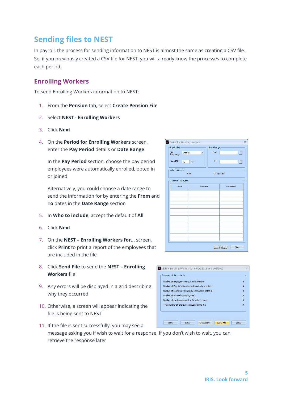Nest - Enrolling Workers for 08/06/2015 to 14/06/2015

Number of employees without an NI Number

Number of Entitled Workers joined

Number of Eligible Jobholders automatically enrolled

Number of Eligible or Non-eligible Jobholders opted-in

Number of employees enrolled for other reasons

Total number of employees included in the file

Summary of file contents

 $\overline{0}$ 

 $\overline{9}$ 

 $\Omega$ 

 $\mathbf{o}$ 

 $\mathbf{0}$ 

 $\overline{9}$ 

# <span id="page-4-0"></span>**Sending files to NEST**

In payroll, the process for sending information to NEST is almost the same as creating a CSV file. So, if you previously created a CSV file for NEST, you will already know the processes to complete each period.

### <span id="page-4-1"></span>**Enrolling Workers**

To send Enrolling Workers information to NEST:

- 1. From the **Pension** tab, select **Create Pension File**
- 2. Select **NEST - Enrolling Workers**
- 3. Click **Next**
- 4. On the **Period for Enrolling Workers** screen, enter the **Pay Period** details or **Date Range**

In the **Pay Period** section, choose the pay period employees were automatically enrolled, opted in or joined

Alternatively, you could choose a date range to send the information for by entering the **From** and **To** dates in the **Date Range** section

- 5. In **Who to include**, accept the default of **All**
- 6. Click **Next**
- 7. On the **NEST – Enrolling Workers for…** screen, click **Print** to print a report of the employees that are included in the file
- 8. Click **Send File** to send the **NEST – Enrolling Workers** file
- 9. Any errors will be displayed in a grid describing why they occurred
- 10. Otherwise, a screen will appear indicating the file is being sent to NEST
- Print Back Create File Send File Close 11. If the file is sent successfully, you may see a message asking you if wish to wait for a response. If you don't wish to wait, you can retrieve the response later

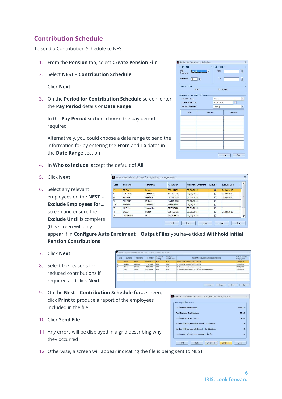## <span id="page-5-0"></span>**Contribution Schedule**

To send a Contribution Schedule to NEST:

- 1. From the **Pension** tab, select **Create Pension File**
- 2. Select **NEST – Contribution Schedule**

Click **Next**

3. On the **Period for Contribution Schedule** screen, enter the **Pay Period** details or **Date Range**

In the **Pay Period** section, choose the pay period required

Alternatively, you could choose a date range to send the information for by entering the **From** and **To** dates in the **Date Range** section

- 4. In **Who to include**, accept the default of **All**
- 5. Click **Next**
- 6. Select any relevant employees on the **NEST – Exclude Employees for…** screen and ensure the **Exclude Until** is complete (this screen will only

| Code           | Surname         | Forename    | NI Number | <b>Automatic Enrolment</b> | Exclude                 | Exclude Until |  |
|----------------|-----------------|-------------|-----------|----------------------------|-------------------------|---------------|--|
| $\overline{2}$ | <b>BROWN</b>    | <b>Dawn</b> | BE344567A | 08/06/2015                 | $\overline{\mathbf{z}}$ | 31/08/2015    |  |
| 6              | <b>JUGOVIC</b>  | Adrianna    | NA489709B | 08/06/2015                 | ☑                       | 31/08/2015    |  |
| 8              | <b>AKHTAR</b>   | Hirishita   | HA981373A | 08/06/2015                 | $\overline{a}$          | 31/08/2015    |  |
| 9              | <b>MALONE</b>   | Michael     | MA485485A | 08/06/2015                 | п                       |               |  |
| 12             | <b>BONIEK</b>   | Zbigniew    | ZB566780A | 08/06/2015                 | г                       |               |  |
| $\overline{7}$ | <b>CROSS</b>    | Samantha    | S7673764A | 08/06/2015                 | г                       |               |  |
| $\overline{4}$ | GOLD            | Susan       | SG875675A | 08/06/2015                 | $\overline{v}$          | 31/08/2015    |  |
| 5              | <b>HELMRICH</b> | Hugh        | NH733492A | 08/06/2015                 | П                       |               |  |

appear if in **Configure Auto Enrolment | O Pension Contributions**

- 7. Click **Next**
- 8. Select the reasons for reduced contributions if required and click **Next**
- 9. On the **Nest – Contribution Schedule for…** screen, click **Print** to produce a report of the employees included in the file
- 10. Click **Send File**
- 11. Any errors will be displayed in a grid describing why they occurred
- 12. Otherwise, a screen will appear indicating the file is being sent to NEST

**D** NECT Contribution

| Susan                           | SG875675A                                    | 08/06/2015 | $\overline{\mathbf{v}}$ | 31/08/2015 |              |
|---------------------------------|----------------------------------------------|------------|-------------------------|------------|--------------|
| Hugh                            | NH733492A                                    | 08/06/2015 | п                       |            | v            |
|                                 | Print                                        | Save       | Back                    | Next       | Close        |
|                                 | utput Files you have ticked Withhold Initial |            |                         |            |              |
|                                 |                                              |            |                         |            |              |
|                                 |                                              |            |                         |            |              |
|                                 |                                              |            |                         |            |              |
| d987 - 08/06/2015 to 14/06/2015 |                                              |            |                         |            | $\mathbf{x}$ |

Reason for Reduced Employee Contribution

| Summary of file contents                        |                |
|-------------------------------------------------|----------------|
| <b>Total Pensionable Earnings</b>               | 1798.81        |
| <b>Total Employer Contributions</b>             | 90.22          |
| <b>Total Employee Contributions</b>             | 62.34          |
| Number of employees with Reduced Contributions  | $\overline{4}$ |
| Number of Employees with Excluded Contributions | $\overline{4}$ |
| Total number of employees included in the file  | ٠              |

| Pay Period<br>Pay<br>Frequency  | Weekly <b>Weekly</b> | Date Range<br>From |  | 可        |
|---------------------------------|----------------------|--------------------|--|----------|
| Period No.<br>10                | ٠                    | To                 |  | 可        |
| Who to include<br>$=$ All       |                      | Selected           |  |          |
| Payment Source and NEST Details |                      |                    |  |          |
| Payment Source                  |                      | Ad987              |  |          |
| Date Payment Due                |                      | 30/09/2015         |  | 目        |
| Payment Frequency               |                      | Weekly<br>T        |  |          |
| Code                            |                      | Surname            |  | Forename |
|                                 |                      |                    |  |          |
|                                 |                      |                    |  |          |
|                                 |                      |                    |  |          |
|                                 |                      |                    |  |          |
|                                 |                      |                    |  |          |
|                                 |                      |                    |  |          |
|                                 |                      |                    |  |          |
|                                 |                      |                    |  |          |
|                                 |                      |                    |  |          |

Date of Partia<br>Non-payment

 $0/06/201$ 

 $\begin{array}{|c|c|c|c|c|c|c|c|c|} \hline & \multicolumn{3}{|c|}{\Delta} \text{ave} & \multicolumn{3}{|c|}{\Delta} \text{use} & \multicolumn{3}{|c|}{\Delta} \text{use} & \multicolumn{3}{|c|}{\Delta} \text{use} & \multicolumn{3}{|c|}{\Delta} \text{use} & \multicolumn{3}{|c|}{\Delta} \text{use} & \multicolumn{3}{|c|}{\Delta} \text{use} & \multicolumn{3}{|c|}{\Delta} \text{use} & \multicolumn{3}{|c|}{\Delta} \text{use} & \multicolumn{3}{|c|}{$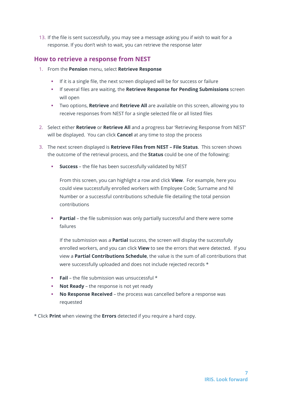13. If the file is sent successfully, you may see a message asking you if wish to wait for a response. If you don't wish to wait, you can retrieve the response later

### <span id="page-6-0"></span>**How to retrieve a response from NEST**

- 1. From the **Pension** menu, select **Retrieve Response**
	- If it is a single file, the next screen displayed will be for success or failure
	- If several files are waiting, the **Retrieve Response for Pending Submissions** screen will open
	- Two options, **Retrieve** and **Retrieve All** are available on this screen, allowing you to receive responses from NEST for a single selected file or all listed files
- 2. Select either **Retrieve** or **Retrieve All** and a progress bar 'Retrieving Response from NEST' will be displayed. You can click **Cancel** at any time to stop the process
- 3. The next screen displayed is **Retrieve Files from NEST – File Status**. This screen shows the outcome of the retrieval process, and the **Status** could be one of the following:
	- **Success** the file has been successfully validated by NEST

From this screen, you can highlight a row and click **View**. For example, here you could view successfully enrolled workers with Employee Code; Surname and NI Number or a successful contributions schedule file detailing the total pension contributions

**Partial** – the file submission was only partially successful and there were some failures

If the submission was a **Partial** success, the screen will display the successfully enrolled workers, and you can click **View** to see the errors that were detected. If you view a **Partial Contributions Schedule**, the value is the sum of all contributions that were successfully uploaded and does not include rejected records \*

- **Fail** the file submission was unsuccessful \*
- **Not Ready** the response is not yet ready
- **No Response Received** the process was cancelled before a response was requested
- \* Click **Print** when viewing the **Errors** detected if you require a hard copy.